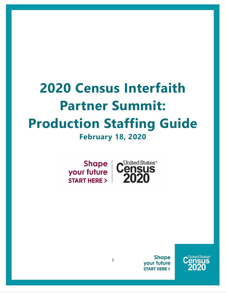# **2020 Census Interfaith Partner Summit: Production Staffing Guide February 18, 2020**

**Shape** your future **START HERE >** 



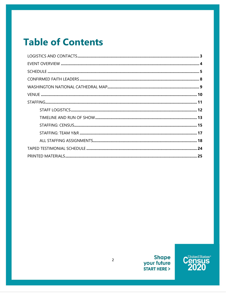## **Table of Contents**

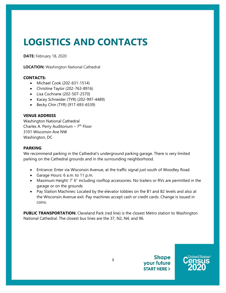## <span id="page-2-0"></span>**LOGISTICS AND CONTACTS**

**DATE:** February 18, 2020

**LOCATION:** Washington National Cathedral

#### **CONTACTS:**

- Michael Cook (202-631-1514)
- Christine Taylor (202-763-8916)
- Lisa Cochrane (202-507-2570)
- Kacey Schneider (TYR) (202-997-4489)
- Becky Chin (TYR) (917-693-6539)

#### **VENUE ADDRESS**

Washington National Cathedral Charles A. Perry Auditorium  $-7<sup>th</sup>$  Floor 3101 Wisconsin Ave NW Washington, DC

#### **PARKING**

We recommend parking in the Cathedral's underground parking garage. There is very limited parking on the Cathedral grounds and in the surrounding neighborhood.

- Entrance: Enter via Wisconsin Avenue, at the traffic signal just south of Woodley Road.
- Garage Hours: 6 a.m. to 11 p.m.
- Maximum Height: 7' 6" including rooftop accessories. No trailers or RVs are permitted in the garage or on the grounds
- Pay Station Machines: Located by the elevator lobbies on the B1 and B2 levels and also at the Wisconsin Avenue exit. Pay machines accept cash or credit cards. Change is issued in coins.

**PUBLIC TRANSPORTATION:** Cleveland Park (red line) is the closest Metro station to Washington National Cathedral. The closest bus lines are the 37, N2, N4, and 96.

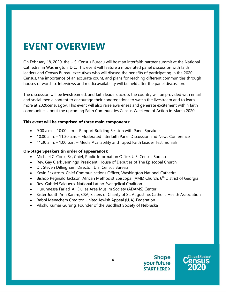### <span id="page-3-0"></span>**EVENT OVERVIEW**

On February 18, 2020, the U.S. Census Bureau will host an interfaith partner summit at the National Cathedral in Washington, D.C. This event will feature a moderated panel discussion with faith leaders and Census Bureau executives who will discuss the benefits of participating in the 2020 Census, the importance of an accurate count, and plans for reaching different communities through houses of worship. Interviews and media availability will be held after the panel discussion.

The discussion will be livestreamed, and faith leaders across the country will be provided with email and social media content to encourage their congregations to watch the livestream and to learn more at 2020census.gov. This event will also raise awareness and generate excitement within faith communities about the upcoming Faith Communities Census Weekend of Action in March 2020.

#### **This event will be comprised of three main components:**

- 9:00 a.m. 10:00 a.m. Rapport Building Session with Panel Speakers
- 10:00 a.m. 11:30 a.m. Moderated Interfaith Panel Discussion and News Conference
- 11:30 a.m. 1:00 p.m. Media Availability and Taped Faith Leader Testimonials

#### **On-Stage Speakers (in order of appearance)**:

- Michael C. Cook, Sr., Chief, Public Information Office, U.S. Census Bureau
- Rev. Gay Clark Jennings, President, House of Deputies of The Episcopal Church
- Dr. Steven Dillingham, Director, U.S. Census Bureau
- Kevin Eckstrom, Chief Communications Officer, Washington National Cathedral
- Bishop Reginald Jackson, African Methodist Episcopal (AME) Church, 6<sup>th</sup> District of Georgia
- Rev. Gabriel Salguero, National Latino Evangelical Coalition
- Hurunnessa Fariad, All Dulles Area Muslim Society (ADAMS) Center
- Sister Judith Ann Karam, CSA, Sisters of Charity of St. Augustine, Catholic Health Association
- Rabbi Menachem Creditor, United Jewish Appeal (UJA)-Federation
- Vikshu Kumar Gurung, Founder of the Buddhist Society of Nebraska

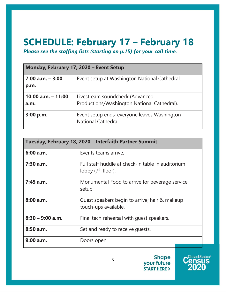## <span id="page-4-0"></span>**SCHEDULE: February 17 – February 18**

*Please see the staffing lists (starting on p.15) for your call time.* 

| Monday, February 17, 2020 - Event Setup |                                                                                |  |  |  |
|-----------------------------------------|--------------------------------------------------------------------------------|--|--|--|
| $7:00$ a.m. $-3:00$<br>p.m.             | Event setup at Washington National Cathedral.                                  |  |  |  |
| $10:00$ a.m. $-11:00$<br>a.m.           | Livestream soundcheck (Advanced<br>Productions/Washington National Cathedral). |  |  |  |
| $3:00$ p.m.                             | Event setup ends; everyone leaves Washington<br>National Cathedral.            |  |  |  |

| Tuesday, February 18, 2020 - Interfaith Partner Summit |                                                                            |  |  |  |
|--------------------------------------------------------|----------------------------------------------------------------------------|--|--|--|
| 6:00 a.m.                                              | Events teams arrive.                                                       |  |  |  |
| $7:30$ a.m.                                            | Full staff huddle at check-in table in auditorium<br>lobby $(7th floor)$ . |  |  |  |
| 7:45 a.m.                                              | Monumental Food to arrive for beverage service<br>setup.                   |  |  |  |
| 8:00 a.m.                                              | Guest speakers begin to arrive; hair & makeup<br>touch-ups available.      |  |  |  |
| $8:30 - 9:00$ a.m.                                     | Final tech rehearsal with quest speakers.                                  |  |  |  |
| 8:50 a.m.                                              | Set and ready to receive quests.                                           |  |  |  |
| 9:00a.m.                                               | Doors open.                                                                |  |  |  |

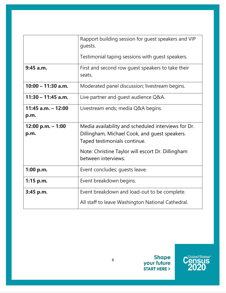|                        | Rapport building session for guest speakers and VIP<br>quests. |  |  |  |  |
|------------------------|----------------------------------------------------------------|--|--|--|--|
|                        | Testimonial taping sessions with guest speakers.               |  |  |  |  |
| $9:45$ a.m.            | First and second row guest speakers to take their<br>seats.    |  |  |  |  |
| $10:00 - 11:30$ a.m.   | Moderated panel discussion; livestream begins.                 |  |  |  |  |
| $11:30 - 11:45$ a.m.   | Live partner and guest audience Q&A.                           |  |  |  |  |
| $11:45$ a.m. $- 12:00$ | Livestream ends; media Q&A begins.                             |  |  |  |  |
| p.m.                   |                                                                |  |  |  |  |
| $12:00$ p.m. $-1:00$   | Media availability and scheduled interviews for Dr.            |  |  |  |  |
| p.m.                   | Dillingham, Michael Cook, and guest speakers.                  |  |  |  |  |
|                        | Taped testimonials continue.                                   |  |  |  |  |
|                        | Note: Christine Taylor will escort Dr. Dillingham              |  |  |  |  |
|                        | between interviews.                                            |  |  |  |  |
| 1:00 p.m.              | Event concludes; guests leave.                                 |  |  |  |  |
| $1:15$ p.m.            | Event breakdown begins.                                        |  |  |  |  |
| 3:45 p.m.              | Event breakdown and load-out to be complete.                   |  |  |  |  |
|                        | All staff to leave Washington National Cathedral.              |  |  |  |  |

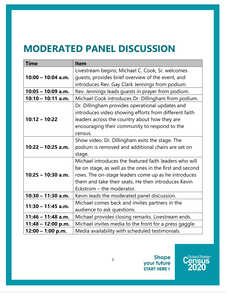### **MODERATED PANEL DISCUSSION**

| <b>Time</b>          | <b>Item</b>                                              |
|----------------------|----------------------------------------------------------|
|                      | Livestream begins; Michael C. Cook, Sr. welcomes         |
| $10:00 - 10:04$ a.m. | guests, provides brief overview of the event, and        |
|                      | introduces Rev. Gay Clark Jennings from podium.          |
| $10:05 - 10:09$ a.m. | Rev. Jennings leads guests in prayer from podium.        |
| $10:10 - 10:11$ a.m. | Michael Cook introduces Dr. Dillingham from podium.      |
|                      | Dr. Dillingham provides operational updates and          |
|                      | introduces video showing efforts from different faith    |
| $10:12 - 10:22$      | leaders across the country about how they are            |
|                      | encouraging their community to respond to the            |
|                      | census.                                                  |
|                      | Show video. Dr. Dillingham exits the stage. The          |
| $10:22 - 10:25$ a.m. | podium is removed and additional chairs are set on       |
|                      | stage.                                                   |
|                      | Michael introduces the featured faith leaders who will   |
|                      | be on stage, as well as the ones in the first and second |
| $10:25 - 10:30$ a.m. | rows. The on-stage leaders come up as he introduces      |
|                      | them and take their seats. He then introduces Kevin      |
|                      | Eckstrom – the moderator.                                |
| $10:30 - 11:30$ a.m. | Kevin leads the moderated panel discussion.              |
|                      | Michael comes back and invites partners in the           |
| $11:30 - 11:45$ a.m. | audience to ask questions.                               |
| $11:46 - 11:48$ a.m. | Michael provides closing remarks. Livestream ends.       |
| $11:48 - 12:00$ p.m. | Michael invites media to the front for a press gaggle.   |
| $12:00 - 1:00$ p.m.  | Media availability with scheduled testimonials.          |

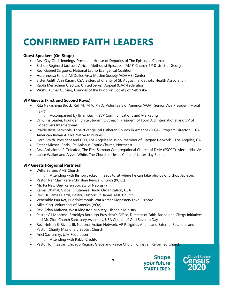## **CONFIRMED FAITH LEADERS**

#### **Guest Speakers (On Stage)**

- Rev. Gay Clark Jennings, President, House of Deputies of The Episcopal Church
- Bishop Reginald Jackson, African Methodist Episcopal (AME) Church, 6<sup>th</sup> District of Georgia
- Rev. Gabriel Salguero, National Latino Evangelical Coalition
- Hurunnessa Fariad, All Dulles Area Muslim Society (ADAMS) Center
- Sister Judith Ann Karam, CSA, Sisters of Charity of St. Augustine, Catholic Health Association
- Rabbi Menachem Creditor, United Jewish Appeal (UJA)-Federation
- Vikshu Kumar Gurung, Founder of the Buddhist Society of Nebraska

#### **VIP Guests (First and Second Rows)**

- Rita Nakashima Brock, Rel. M., M.A., Ph.D., Volunteers of America (VOA), Senior Vice President, Moral Injury
	- o Accompanied by Brian Gavin, SVP Communications and Marketing
- Dr. Chris Leader, Founder, Ignite Student Outreach, President of Food Aid International and VP of Hopegivers International
- Prairie Rose Seminole, Tribal/Evangelical Lutheran Church in America (ELCA), Program Director, ELCA American Indian Alaska Native Ministries
- Herb Smith, President and CEO, Los Angeles Mission, member of Citygate Network Los Angeles, CA
- Father Michael Sorial, St. Anianus Coptic Church, Northeast
- Rev. Apisaloma P. Toleafoa, The First Samoan Congregational Church of DMV (FSCCC), Alexandria, VA
- Lance Walker and Alyssa White, The Church of Jesus Christ of Latter-day Saints

#### **VIP Guests (Regional Partners)**

- Willie Barber, AME Church
	- o Attending with Bishop Jackson; needs to sit where he can take photos of Bishop Jackson.
- Pastor Ner Clay, Karen Christian Revival Church (KCRC)
- Mr. Pa Naw Dee, Karen Society of Nebraska
- Kamal Dhimal, Global Bhutanese Hindu Organization, USA
- Rev. Dr. James Harris, Pastor, Historic St. James AME Church
- Venerable Pau Ket, Buddhist monk, Wat Khmer Monastery Lake Elsinore
- Mike King, Volunteers of America (VOA)
- Rev. Adan Mairena, West Kingston Ministry, Hispanic Ministry
- Pastor Gil Monrose, Brooklyn Borough President's Office, Director of Faith-Based and Clergy Initiatives and Mt. Zion Church Sanctuary Assembly, USA Church of God Seventh Day
- Rev. Nelson B. Rivers, III, National Action Network, VP Religious Affairs and External Relations and Pastor, Charity Missionary Baptist Church
- Ariel Savransky, UJA-Federation
	- o Attending with Rabbi Creditor
- Pastor John Zayas, Chicago Region, Grace and Peace Church, Christian Reformed Church



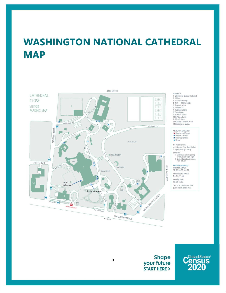## <span id="page-8-0"></span>**WASHINGTON NATIONAL CATHEDRAL MAP**



#### BUILDINGS

**BUILDINGS<br>1 Washington National Cathedral<br>2 Offices** 

Cathedral College

4 NCS — Athletic Center<br>5 Beauvoir School<br>6 Greenhouse

7 Facilities Building<br>8 Sayre House<br>9 St Albans School

10 St Alban's Parish<br>11 Church House

12 National Cathedral School

13 Underground Garage

VISITOR INFORMATION Ia Underground Garage<br>M Metro Bus Routes<br>M Handicap Parking

\* Flexcar

No Visitor Parking<br>on Cathedral Close Roads before<br>3:30pm, Monday – Friday Exceptions:

A Greenhouse customer parking<br>30 minutes only 9am - 5pm<br>B Cathedral early Service parking<br>7:30 - 8:15 am

### **METRO BUS ROUTES\***

Wisconsin Avenue:<br>30, 32, 34, 35, and 36.

Massachusetts Avenue:

N2, N3, N4, N6

Woodley Road:<br>90, 92, 93, X3

\*For more information on DC<br>public transit, please visit:

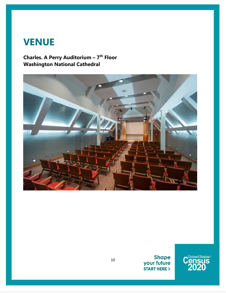### **VENUE**

### **Charles. A Perry Auditorium – 7 th Floor Washington National Cathedral**





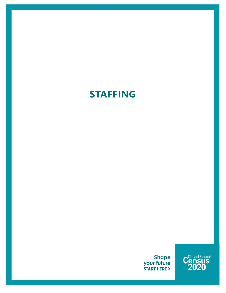## **STAFFING**

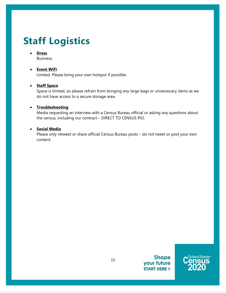## **Staff Logistics**

#### • **Dress**

Business.

#### • **Event WiFi**

Limited. Please bring your own hotspot if possible.

#### • **Staff Space**

Space is limited, so please refrain from bringing any large bags or unnecessary items as we do not have access to a secure storage area.

#### • **Troubleshooting**

Media requesting an interview with a Census Bureau official or asking any questions about the census, including our contract – DIRECT TO CENSUS PIO.

#### • **Social Media**

Please only retweet or share official Census Bureau posts – do not tweet or post your own content.



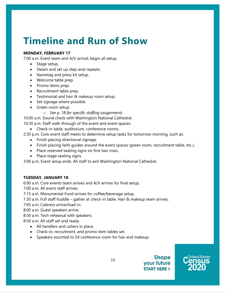### **Timeline and Run of Show**

#### **MONDAY, FEBRUARY 17**

7:00 a.m. Event team and A/V arrival; begin all setup.

- Stage setup.
- Steam and set up step-and-repeats.
- Nametag and press kit setup.
- Welcome table prep.
- Promo items prep.
- Recruitment table prep.
- Testimonial and hair & makeup room setup.
- Set signage where possible.
- Green room setup.
	- o *See p. 18 for specific staffing assignments.*

10:00 a.m. Sound check with Washington National Cathedral.

10:30 a.m. Staff walk-through of the event and event spaces.

• Check-in table, auditorium, conference rooms.

2:30 p.m. Core event staff meets to determine setup tasks for tomorrow morning, such as:

- Finish placing directional signage.
- Finish placing faith guides around the event spaces (green room, recruitment table, etc.).
- Place reserved seating signs on first two rows.
- Place stage seating signs.

3:00 p.m. Event setup ends. All staff to exit Washington National Cathedral.

#### **TUESDAY, JANUARY 18**

6:00 a.m. Core events team arrives and A/V arrives for final setup.

7:00 a.m. All event staff arrives.

7:15 a.m. Monumental Food arrives for coffee/beverage setup.

7:30 a.m. Full staff huddle – gather at check-in table. Hair & makeup team arrives.

7:45 a.m. Caterers arrive/load-in.

- 8:00 a.m. Guest speakers arrive.
- 8:30 a.m. Tech rehearsal with speakers.

8:50 a.m. All staff set and ready.

- All handlers and ushers in place.
- Check-in, recruitment, and promo item tables set.
- Speakers escorted to S4 conference room for hair and makeup.

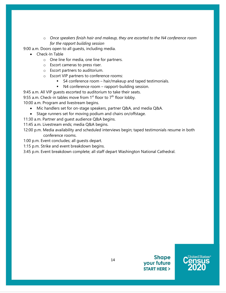o *Once speakers finish hair and makeup, they are escorted to the N4 conference room for the rapport building session*

9:00 a.m. Doors open to all guests, including media.

- Check-In Table
	- o One line for media, one line for partners.
	- o Escort cameras to press riser.
	- o Escort partners to auditorium.
	- o Escort VIP partners to conference rooms:
		- S4 conference room hair/makeup and taped testimonials.
		- N4 conference room rapport-building session.

9:45 a.m. All VIP guests escorted to auditorium to take their seats. 9:55 a.m. Check-in tables move from  $1<sup>st</sup>$  floor to  $7<sup>th</sup>$  floor lobby.

10:00 a.m. Program and livestream begins.

- Mic handlers set for on-stage speakers, partner Q&A, and media Q&A.
- Stage runners set for moving podium and chairs on/offstage.
- 11:30 a.m. Partner and guest audience Q&A begins.
- 11:45 a.m. Livestream ends; media Q&A begins.
- 12:00 p.m. Media availability and scheduled interviews begin; taped testimonials resume in both conference rooms.
- 1:00 p.m. Event concludes; all guests depart.
- 1:15 p.m. Strike and event breakdown begins.
- 3:45 p.m. Event breakdown complete; all staff depart Washington National Cathedral.



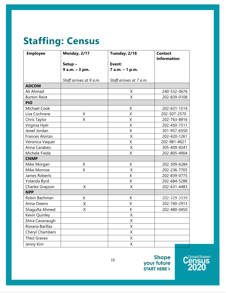### **Staffing: Census**

| <b>Employee</b>     | Monday, 2/17            | Tuesday, 2/18           | <b>Contact</b><br><b>Information</b> |
|---------------------|-------------------------|-------------------------|--------------------------------------|
|                     | Setup-                  | Event:                  |                                      |
|                     | 9 a.m. - 3 pm.          | 7 a.m. - 1 p.m.         |                                      |
|                     |                         |                         |                                      |
|                     | Staff arrives at 9 a.m. | Staff arrives at 7 a.m. |                                      |
| <b>ADCOM</b>        |                         |                         |                                      |
| Ali Ahmad           |                         | X                       | 240-532-0676                         |
| <b>Burton Reist</b> |                         | Χ                       | 202-839-0108                         |
| <b>PIO</b>          |                         |                         |                                      |
| Michael Cook        |                         | Χ                       | 202-631-1514                         |
| Lisa Cochrane       | X                       | Χ                       | 202-507-2570                         |
| Chris Taylor        | X                       | Χ                       | 202-763-8916                         |
| Virginia Hyer       |                         | Χ                       | 202-450-7511                         |
| Jewel Jordan        |                         | X                       | 301-957-6550                         |
| Frances Alonzo      |                         | Χ                       | 202-420-1261                         |
| Veronica Vaquer     |                         | X                       | 202-981-4621                         |
| Anna Carabeo        |                         | Χ                       | 305-409-9241                         |
| Michele Freda       |                         | X                       | 202-805-4904                         |
| <b>CNMP</b>         |                         |                         |                                      |
| Mike Morgan         | X                       | Χ                       | 202-309-6284                         |
| Mike Monroe         | Χ                       | Χ                       | 202-236-7705                         |
| James Roberts       |                         | Χ                       | 202-839-0775                         |
| Yolanda Byrd        |                         | Χ                       | 202-684-5288                         |
| Charles Grayson     | X                       | Χ                       | 202-631-4483                         |
| <b>NPP</b>          |                         |                         |                                      |
| Robin Bachman       | Χ                       | Χ                       | 202-329-3339                         |
| Anna Owens          | Χ                       | X                       | 202-740-2913                         |
| Shagufta Ahmed      | Χ                       | Χ                       | 202-480-0450                         |
| Kevin Quinley       |                         | Χ                       |                                      |
| Shira Cavanaugh     |                         | Χ                       |                                      |
| Roxana Barillas     |                         | X                       |                                      |
| Cheryl Chambers     |                         | X                       |                                      |
| Theo Graves         |                         | Χ                       |                                      |
| Jenny Kim           |                         | $\mathsf X$             |                                      |

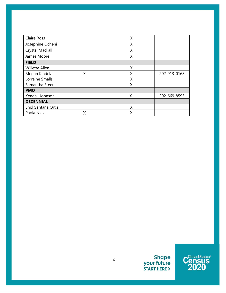<span id="page-15-0"></span>

| Claire Ross        |   | X |              |
|--------------------|---|---|--------------|
| Josephine Ocheni   |   | Χ |              |
| Crystal Mackall    |   | Χ |              |
| James Moore        |   | X |              |
| <b>FIELD</b>       |   |   |              |
| Willette Allen     |   | X |              |
| Megan Kindelan     | Χ | Χ | 202-913-0168 |
| Lorraine Smalls    |   | X |              |
| Samantha Steen     |   | X |              |
| <b>PMO</b>         |   |   |              |
| Kendall Johnson    |   | Χ | 202-669-8593 |
| <b>DECENNIAL</b>   |   |   |              |
| Enid Santana Ortiz |   | X |              |
| Paola Nieves       |   | Χ |              |

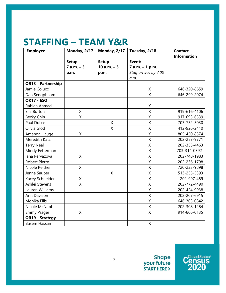### **STAFFING – TEAM Y&R**

| <b>Employee</b>           | <b>Monday, 2/17</b> | Monday, 2/17  | Tuesday, 2/18           | <b>Contact</b>     |
|---------------------------|---------------------|---------------|-------------------------|--------------------|
|                           |                     |               |                         | <b>Information</b> |
|                           | Setup-              | Setup-        | Event:                  |                    |
|                           | $7 a.m. - 3$        | $10 a.m. - 3$ | 7 a.m. - 1 p.m.         |                    |
|                           | p.m.                | p.m.          | Staff arrives by 7:00   |                    |
|                           |                     |               | a.m.                    |                    |
| <b>OR13 - Partnership</b> |                     |               |                         |                    |
| Jamie Colucci             |                     |               | X                       | 646-320-8659       |
| Dan Sengphilom            |                     |               | $\overline{X}$          | 646-299-2074       |
| <b>OR17 - ESO</b>         |                     |               |                         |                    |
| Rabiah Ahmad              |                     |               | X                       |                    |
| Ella Burton               | X                   |               | $\overline{\mathsf{X}}$ | 919-616-4106       |
| Becky Chin                | X                   |               | $\mathsf X$             | 917-693-6539       |
| Paul Dubas                |                     | X             | $\sf X$                 | 703-732-3030       |
| Olivia Glod               |                     | Χ             | $\sf X$                 | 412-926-2410       |
| Amanda Hauge              | X                   |               | X                       | 805-450-8574       |
| Meredith Katz             |                     |               | X                       | 202-257-9771       |
| <b>Terry Neal</b>         |                     |               | X                       | 202-355-4463       |
| Mindy Fetterman           |                     |               | Χ                       | 703-314-0392       |
| lana Pervazova            | X                   |               | $\sf X$                 | 202-748-1983       |
| <b>Robert Pierre</b>      |                     |               | X                       | 202-236-1798       |
| Nicole Reither            | X                   |               | X                       | 720-233-9898       |
| Jenna Sauber              |                     | X             | X                       | 513-255-5393       |
| Kacey Schneider           | X                   |               | $\overline{\mathsf{X}}$ | 202-997-489        |
| Ashlei Stevens            | X                   |               | $\mathsf X$             | 202-772-4490       |
| Lauren Williams           |                     |               | $\sf X$                 | 202-424-9938       |
| Ann Davison               |                     |               | $\sf X$                 | 202-207-6915       |
| Monika Ellis              |                     |               | X                       | 646-303-0842       |
| Nicole McNabb             |                     |               | Χ                       | 202-308-1284       |
| <b>Emmy Prager</b>        | X                   |               | X                       | 914-806-0135       |
| <b>OR19 - Strategy</b>    |                     |               |                         |                    |
| <b>Basem Hassan</b>       |                     |               | $\mathsf{X}$            |                    |

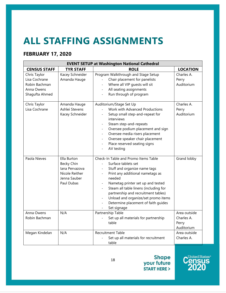## **ALL STAFFING ASSIGNMENTS**

### **FEBRUARY 17, 2020**

| <b>EVENT SETUP at Washington National Cathedral</b>                            |                                                                                             |                                                                                                                                                                                                                                                                                                                                                             |                                                   |  |
|--------------------------------------------------------------------------------|---------------------------------------------------------------------------------------------|-------------------------------------------------------------------------------------------------------------------------------------------------------------------------------------------------------------------------------------------------------------------------------------------------------------------------------------------------------------|---------------------------------------------------|--|
| <b>CENSUS STAFF</b>                                                            | <b>TYR STAFF</b>                                                                            | <b>ROLE</b>                                                                                                                                                                                                                                                                                                                                                 | <b>LOCATION</b>                                   |  |
| Chris Taylor<br>Lisa Cochrane<br>Robin Bachman<br>Anna Owens<br>Shagufta Ahmed | Kacey Schneider<br>Amanda Hauge                                                             | Program Walkthrough and Stage Setup<br>Chair placement for panelists<br>Where all VIP guests will sit<br>All seating assignments<br>Run through of program                                                                                                                                                                                                  | Charles A.<br>Perry<br>Auditorium                 |  |
| Chris Taylor<br>Lisa Cochrane                                                  | Amanda Hauge<br>Ashlei Stevens<br>Kacey Schneider                                           | Auditorium/Stage Set Up<br>Work with Advanced Productions<br>Setup small step-and-repeat for<br>interviews<br>Steam step-and-repeats<br>Oversee podium placement and sign<br>Oversee media risers placement<br>Oversee speaker chair placement<br>Place reserved seating signs<br>AV testing                                                                | Charles A.<br>Perry<br>Auditorium                 |  |
| Paola Nieves                                                                   | Ella Burton<br>Becky Chin<br>lana Pervazova<br>Nicole Reither<br>Jenna Sauber<br>Paul Dubas | Check-In Table and Promo Items Table<br>Surface tablets set<br>Stuff and organize name tags<br>Print any additional nametags as<br>needed<br>Nametag printer set up and tested<br>Steam all table linens (including for<br>partnership and recruitment tables)<br>Unload and organize/set promo items<br>Determine placement of faith guides<br>Set signage | Grand lobby                                       |  |
| Anna Owens<br>Robin Bachman                                                    | N/A                                                                                         | Partnership Table<br>Set up all materials for partnership<br>table                                                                                                                                                                                                                                                                                          | Area outside<br>Charles A.<br>Perry<br>Auditorium |  |
| Megan Kindelan                                                                 | N/A                                                                                         | Recruitment Table<br>Set up all materials for recruitment<br>table                                                                                                                                                                                                                                                                                          | Area outside<br>Charles A.                        |  |

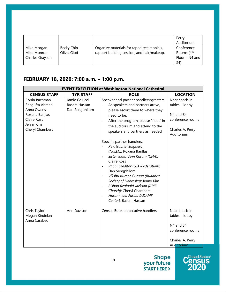|                 |             |                                            | Perry                  |
|-----------------|-------------|--------------------------------------------|------------------------|
|                 |             |                                            | Auditorium             |
| Mike Morgan     | Becky Chin  | Organize materials for taped testimonials, | Conference             |
| Mike Monroe     | Olivia Glod | rapport building session, and hair/makeup. | Rooms (4 <sup>th</sup> |
| Charles Grayson |             |                                            | Floor – N4 and         |
|                 |             |                                            | S4)                    |

### **FEBRUARY 18, 2020: 7:00 a.m. – 1:00 p.m.**

|                                                                                                                        |                                                 | <b>EVENT EXECUTION at Washington National Cathedral</b>                                                                                                                                                                                                                                                                                                                                                                                                                                                                                                                                                                                                                                                                                                                       |                                                                                                      |
|------------------------------------------------------------------------------------------------------------------------|-------------------------------------------------|-------------------------------------------------------------------------------------------------------------------------------------------------------------------------------------------------------------------------------------------------------------------------------------------------------------------------------------------------------------------------------------------------------------------------------------------------------------------------------------------------------------------------------------------------------------------------------------------------------------------------------------------------------------------------------------------------------------------------------------------------------------------------------|------------------------------------------------------------------------------------------------------|
| <b>CENSUS STAFF</b>                                                                                                    | <b>TYR STAFF</b>                                | <b>ROLE</b>                                                                                                                                                                                                                                                                                                                                                                                                                                                                                                                                                                                                                                                                                                                                                                   | <b>LOCATION</b>                                                                                      |
| Robin Bachman<br>Shagufta Ahmed<br>Anna Owens<br>Roxana Barillas<br><b>Claire Ross</b><br>Jenny Kim<br>Cheryl Chambers | Jamie Colucci<br>Basem Hassan<br>Dan Sengphilom | Speaker and partner handlers/greeters<br>As speakers and partners arrive,<br>please escort them to where they<br>need to be.<br>After the program, please "float" in<br>$\overline{\phantom{a}}$<br>the auditorium and attend to the<br>speakers and partners as needed<br>Specific partner handlers:<br>Rev. Gabriel Salguero<br>(NaLEC): Roxana Barillas<br>Sister Judith Ann Karam (CHA):<br>Claire Ross<br>Rabbi Creditor (UJA-Federation):<br>$\overline{\phantom{a}}$<br>Dan Sengphilom<br>Vikshu Kumar Gurung (Buddhist<br>$\overline{\phantom{a}}$<br>Society of Nebraska): Jenny Kim<br><b>Bishop Reginald Jackson (AME</b><br>$\overline{\phantom{a}}$<br>Church): Cheryl Chambers<br>Hurunnessa Fariad (ADAMS<br>$\overline{\phantom{a}}$<br>Center): Basem Hassan | Near check-in<br>$tables - lobby$<br>N4 and S4<br>conference rooms<br>Charles A. Perry<br>Auditorium |
| Chris Taylor<br>Megan Kindelan<br>Anna Carabeo                                                                         | Ann Davison                                     | Census Bureau executive handlers                                                                                                                                                                                                                                                                                                                                                                                                                                                                                                                                                                                                                                                                                                                                              | Near check-in<br>$tables - lobby$<br>N4 and S4<br>conference rooms<br>Charles A. Perry<br>Auditorium |

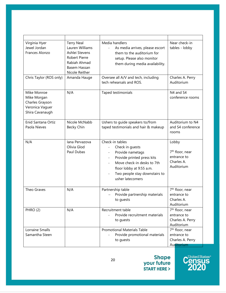| Virginia Hyer<br>Jewel Jordan<br>Frances Alonzo                                     | <b>Terry Neal</b><br>Lauren Williams<br>Ashlei Stevens<br><b>Robert Pierre</b><br>Rabiah Ahmad<br>Basem Hassan<br>Nicole Reither | Media handlers<br>As media arrives, please escort<br>them to the auditorium for<br>setup. Please also monitor<br>them during media availability.                                                                                                            | Near check-in<br>tables - lobby                                                 |
|-------------------------------------------------------------------------------------|----------------------------------------------------------------------------------------------------------------------------------|-------------------------------------------------------------------------------------------------------------------------------------------------------------------------------------------------------------------------------------------------------------|---------------------------------------------------------------------------------|
| Chris Taylor (ROS only)                                                             | Amanda Hauge                                                                                                                     | Oversee all A/V and tech, including<br>tech rehearsals and ROS.                                                                                                                                                                                             | Charles A. Perry<br>Auditorium                                                  |
| Mike Monroe<br>Mike Morgan<br>Charles Grayson<br>Veronica Vaguer<br>Shira Cavanaugh | N/A                                                                                                                              | Taped testimonials                                                                                                                                                                                                                                          | N4 and S4<br>conference rooms                                                   |
| Enid Santana Ortiz<br>Paola Nieves                                                  | Nicole McNabb<br>Becky Chin                                                                                                      | Ushers to quide speakers to/from<br>taped testimonials and hair & makeup                                                                                                                                                                                    | Auditorium to N4<br>and S4 conference<br>rooms                                  |
| N/A                                                                                 | lana Pervazova<br>Olivia Glod<br>Paul Dubas                                                                                      | Check-in tables<br>Check in guests<br>Provide nametags<br>$\overline{\phantom{a}}$<br>Provide printed press kits<br>$\overline{\phantom{a}}$<br>Move check-in desks to 7th<br>floor lobby at 9:55 a.m.<br>Two people stay downstairs to<br>usher latecomers | Lobby<br>7 <sup>th</sup> floor, near<br>entrance to<br>Charles A.<br>Auditorium |
| Theo Graves                                                                         | N/A                                                                                                                              | Partnership table<br>Provide partnership materials<br>to guests                                                                                                                                                                                             | 7 <sup>th</sup> floor, near<br>entrance to<br>Charles A.<br>Auditorium          |
| PHRO (2)                                                                            | N/A                                                                                                                              | Recruitment table<br>Provide recruitment materials<br>to guests                                                                                                                                                                                             | 7 <sup>th</sup> floor, near<br>entrance to<br>Charles A. Perry<br>Auditorium    |
| Lorraine Smalls<br>Samantha Steen                                                   |                                                                                                                                  | <b>Promotional Materials Table</b><br>Provide promotional materials<br>to guests                                                                                                                                                                            | 7 <sup>th</sup> floor, near<br>entrance to<br>Charles A. Perry<br>Auditorium    |

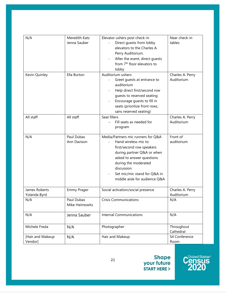| N/A                           | Meredith Katz<br>Jenna Sauber | Elevator ushers post check-in<br>Direct guests from lobby<br>elevators to the Charles A.<br>Perry Auditorium.<br>After the event, direct guests<br>from 7 <sup>th</sup> floor elevators to<br>lobby                                                       | Near check-in<br>tables        |
|-------------------------------|-------------------------------|-----------------------------------------------------------------------------------------------------------------------------------------------------------------------------------------------------------------------------------------------------------|--------------------------------|
| Kevin Quinley                 | Ella Burton                   | Auditorium ushers<br>Greet quests at entrance to<br>auditorium<br>Help direct first/second row<br>guests to reserved seating<br>Encourage guests to fill in<br>seats (prioritize front rows,<br>sans reserved seating)                                    | Charles A. Perry<br>Auditorium |
| All staff                     | All staff                     | Seat fillers<br>Fill seats as needed for<br>program                                                                                                                                                                                                       | Charles A. Perry<br>Auditorium |
| N/A                           | Paul Dubas<br>Ann Davison     | Media/Partners mic runners for Q&A<br>Hand wireless mic to<br>first/second row speakers<br>during partner Q&A or when<br>asked to answer questions<br>during the moderated<br>discussion<br>Set mic/mic stand for Q&A in<br>middle aisle for audience Q&A | Front of<br>auditorium         |
| James Roberts<br>Yolanda Byrd | <b>Emmy Prager</b>            | Social activation/social presence                                                                                                                                                                                                                         | Charles A. Perry<br>Auditorium |
| N/A                           | Paul Dubas<br>Mike Heimowitz  | <b>Crisis Communications</b>                                                                                                                                                                                                                              | N/A                            |
| N/A                           | Jenna Sauber                  | <b>Internal Communications</b>                                                                                                                                                                                                                            | N/A                            |
| Michele Freda                 | N/A                           | Photographer                                                                                                                                                                                                                                              | Throughout<br>Cathedral        |
| [Hair and Makeup<br>Vendor]   | N/A                           | Hair and Makeup                                                                                                                                                                                                                                           | S4 Conference<br>Room          |

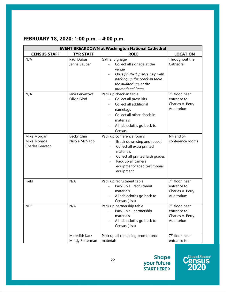| <b>EVENT BREAKDOWN at Washington National Cathedral</b> |                                  |                                                                                                                                                                                                        |                                                                              |  |
|---------------------------------------------------------|----------------------------------|--------------------------------------------------------------------------------------------------------------------------------------------------------------------------------------------------------|------------------------------------------------------------------------------|--|
| <b>CENSUS STAFF</b>                                     | <b>TYR STAFF</b>                 | <b>ROLE</b>                                                                                                                                                                                            | <b>LOCATION</b>                                                              |  |
| N/A                                                     | Paul Dubas<br>Jenna Sauber       | Gather Signage<br>Collect all signage at the<br>venue<br>Once finished, please help with<br>packing up the check-in table,<br>the auditorium, or the<br>promotional items                              | Throughout the<br>Cathedral                                                  |  |
| N/A                                                     | lana Pervazova<br>Olivia Glod    | Pack up check-in table<br>Collect all press kits<br>Collect all additional<br>nametags<br>Collect all other check-in<br>materials<br>All tablecloths go back to<br>Census                              | 7 <sup>th</sup> floor, near<br>entrance to<br>Charles A. Perry<br>Auditorium |  |
| Mike Morgan<br>Mike Monroe<br>Charles Grayson           | Becky Chin<br>Nicole McNabb      | Pack up conference rooms<br>Break down step and repeat<br>Collect all extra printed<br>materials<br>Collect all printed faith guides<br>Pack up all camera<br>equipment/taped testimonial<br>equipment | N4 and S4<br>conference rooms                                                |  |
| Field                                                   | N/A                              | Pack up recruitment table<br>Pack up all recruitment<br>materials<br>All tablecloths go back to<br>Census (Lisa)                                                                                       | 7 <sup>th</sup> floor, near<br>entrance to<br>Charles A. Perry<br>Auditorium |  |
| <b>NPP</b>                                              | N/A                              | Pack up partnership table<br>Pack up all partnership<br>materials<br>All tablecloths go back to<br>Census (Lisa)                                                                                       | 7 <sup>th</sup> floor, near<br>entrance to<br>Charles A. Perry<br>Auditorium |  |
|                                                         | Meredith Katz<br>Mindy Fetterman | Pack up all remaining promotional<br>materials                                                                                                                                                         | 7 <sup>th</sup> floor, near<br>entrance to                                   |  |

### **FEBRUARY 18, 2020: 1:00 p.m. – 4:00 p.m.**

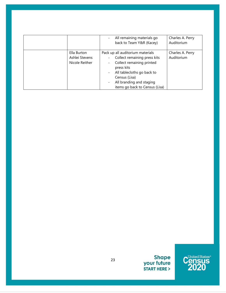|                                                 | All remaining materials go<br>$\overline{\phantom{0}}$<br>back to Team Y&R (Kacey)                                                                                                                                                                                                                                | Charles A. Perry<br>Auditorium |
|-------------------------------------------------|-------------------------------------------------------------------------------------------------------------------------------------------------------------------------------------------------------------------------------------------------------------------------------------------------------------------|--------------------------------|
| Ella Burton<br>Ashlei Stevens<br>Nicole Reither | Pack up all auditorium materials<br>Collect remaining press kits<br>$\overline{\phantom{0}}$<br>Collect remaining printed<br>$\overline{\phantom{0}}$<br>press kits<br>All tablecloths go back to<br>$\overline{\phantom{0}}$<br>Census (Lisa)<br>All branding and staging<br>-<br>items go back to Census (Lisa) | Charles A. Perry<br>Auditorium |

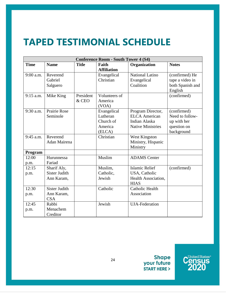## **TAPED TESTIMONIAL SCHEDULE**

| <b>Conference Room - South Tower 4 (S4)</b> |                      |              |                    |                          |                  |
|---------------------------------------------|----------------------|--------------|--------------------|--------------------------|------------------|
| <b>Time</b>                                 | <b>Name</b>          | <b>Title</b> | Faith              | Organization             | <b>Notes</b>     |
|                                             |                      |              | <b>Affiliation</b> |                          |                  |
| 9:00 a.m.                                   | Reverend             |              | Evangelical        | National Latino          | (confirmed) He   |
|                                             | Gabriel              |              | Christian          | Evangelical              | tape a video in  |
|                                             | Salguero             |              |                    | Coalition                | both Spanish and |
|                                             |                      |              |                    |                          | English          |
| $9:15$ a.m.                                 | Mike King            | President    | Volunteers of      |                          | (confirmed)      |
|                                             |                      | & CEO        | America            |                          |                  |
|                                             |                      |              | (VOA)              |                          |                  |
| 9:30 a.m.                                   | <b>Prairie Rose</b>  |              | Evangelical        | Program Director,        | (confirmed)      |
|                                             | Seminole             |              | Lutheran           | <b>ELCA</b> American     | Need to follow-  |
|                                             |                      |              | Church of          | Indian Alaska            | up with her      |
|                                             |                      |              | America            | <b>Native Ministries</b> | question on      |
|                                             |                      |              | (ELCA)             |                          | background       |
| 9:45 a.m.                                   | Reverend             |              | Christian          | <b>West Kingston</b>     |                  |
|                                             | Adan Mairena         |              |                    | Ministry, Hispanic       |                  |
|                                             |                      |              |                    | Ministry                 |                  |
| Program                                     |                      |              |                    |                          |                  |
| 12:00                                       | Hurunnessa           |              | Muslim             | <b>ADAMS</b> Center      |                  |
| p.m.                                        | Fariad               |              |                    |                          |                  |
| 12:15                                       | Sharif Aly,          |              | Muslim,            | <b>Islamic Relief</b>    | (confirmed)      |
| p.m.                                        | <b>Sister Judith</b> |              | Catholic,          | USA, Catholic            |                  |
|                                             | Ann Karam,           |              | Jewish             | Health Association,      |                  |
|                                             |                      |              |                    | <b>HIAS</b>              |                  |
| 12:30                                       | <b>Sister Judith</b> |              | Catholic           | Catholic Health          |                  |
| p.m.                                        | Ann Karam,           |              |                    | Association              |                  |
|                                             | <b>CSA</b>           |              |                    |                          |                  |
| 12:45                                       | Rabbi                |              | Jewish             | <b>UJA-Federation</b>    |                  |
| p.m.                                        | Menachem             |              |                    |                          |                  |
|                                             | Creditor             |              |                    |                          |                  |